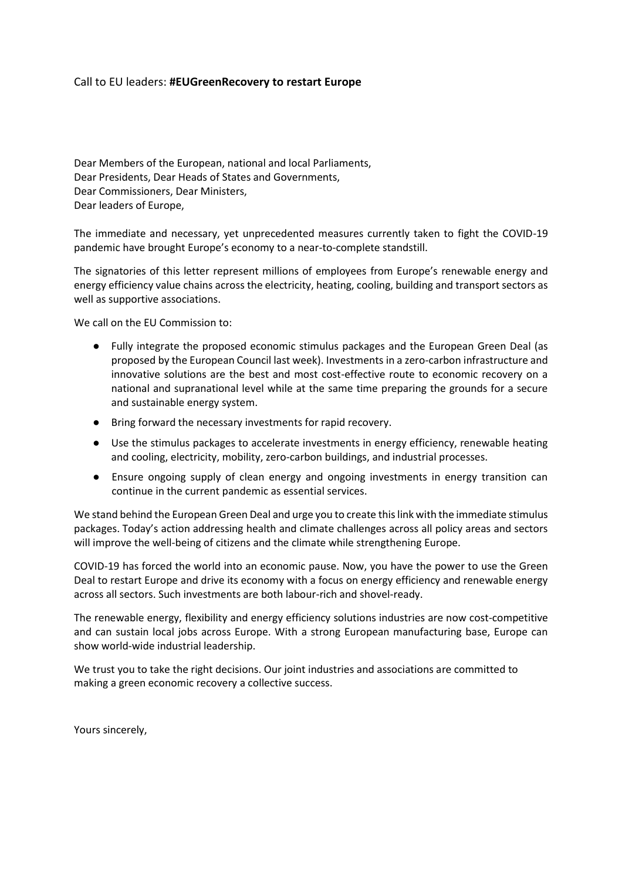## Call to EU leaders: **#EUGreenRecovery to restart Europe**

Dear Members of the European, national and local Parliaments, Dear Presidents, Dear Heads of States and Governments, Dear Commissioners, Dear Ministers, Dear leaders of Europe,

The immediate and necessary, yet unprecedented measures currently taken to fight the COVID-19 pandemic have brought Europe's economy to a near-to-complete standstill.

The signatories of this letter represent millions of employees from Europe's renewable energy and energy efficiency value chains across the electricity, heating, cooling, building and transport sectors as well as supportive associations.

We call on the EU Commission to:

- Fully integrate the proposed economic stimulus packages and the European Green Deal (as proposed by the European Council last week). Investments in a zero-carbon infrastructure and innovative solutions are the best and most cost-effective route to economic recovery on a national and supranational level while at the same time preparing the grounds for a secure and sustainable energy system.
- Bring forward the necessary investments for rapid recovery.
- Use the stimulus packages to accelerate investments in energy efficiency, renewable heating and cooling, electricity, mobility, zero-carbon buildings, and industrial processes.
- Ensure ongoing supply of clean energy and ongoing investments in energy transition can continue in the current pandemic as essential services.

We stand behind the European Green Deal and urge you to create this link with the immediate stimulus packages. Today's action addressing health and climate challenges across all policy areas and sectors will improve the well-being of citizens and the climate while strengthening Europe.

COVID-19 has forced the world into an economic pause. Now, you have the power to use the Green Deal to restart Europe and drive its economy with a focus on energy efficiency and renewable energy across all sectors. Such investments are both labour-rich and shovel-ready.

The renewable energy, flexibility and energy efficiency solutions industries are now cost-competitive and can sustain local jobs across Europe. With a strong European manufacturing base, Europe can show world-wide industrial leadership.

We trust you to take the right decisions. Our joint industries and associations are committed to making a green economic recovery a collective success.

Yours sincerely,